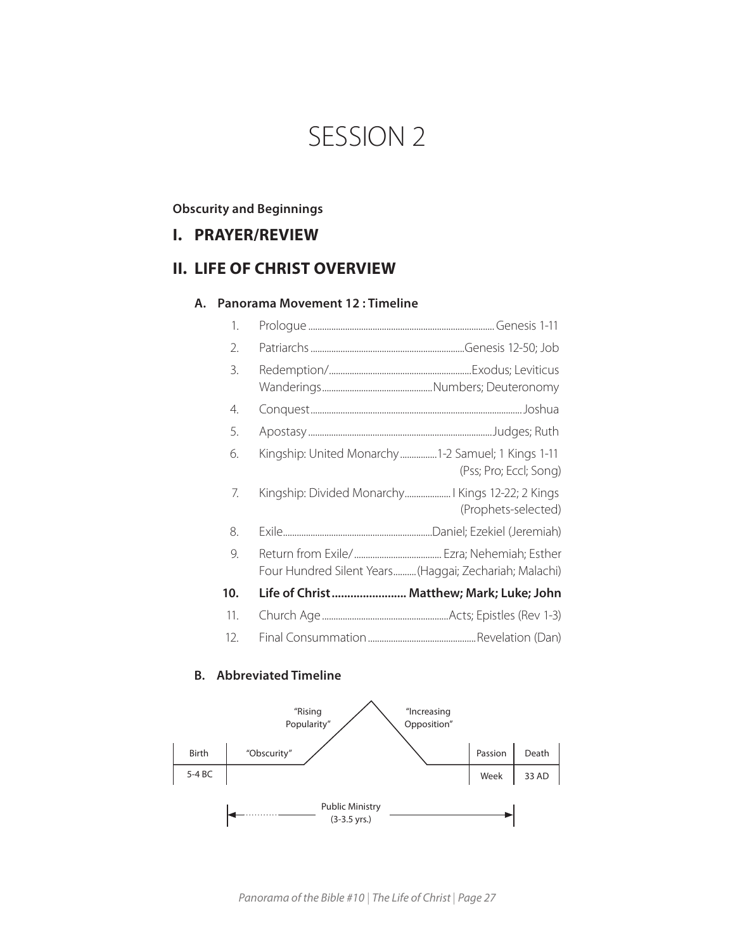# SESSION 2

# **Obscurity and Beginnings**

# **I. PRAYER/REVIEW**

# **II. LIFE OF CHRIST OVERVIEW**

#### **A. Panorama Movement 12 : Timeline**

| 1.  |                                                        |                        |
|-----|--------------------------------------------------------|------------------------|
| 2.  |                                                        |                        |
| 3.  |                                                        |                        |
| 4.  |                                                        |                        |
| 5.  |                                                        |                        |
| 6.  | Kingship: United Monarchy1-2 Samuel; 1 Kings 1-11      | (Pss; Pro; Eccl; Song) |
| 7.  | Kingship: Divided Monarchy Kings 12-22; 2 Kings        | (Prophets-selected)    |
| 8.  |                                                        |                        |
| 9.  | Four Hundred Silent Years (Haggai; Zechariah; Malachi) |                        |
| 10. | Life of Christ Matthew; Mark; Luke; John               |                        |
| 11. |                                                        |                        |
| 12. |                                                        |                        |

# **B. Abbreviated Timeline**



*Panorama of the Bible #10* | *The Life of Christ* | *Page 27*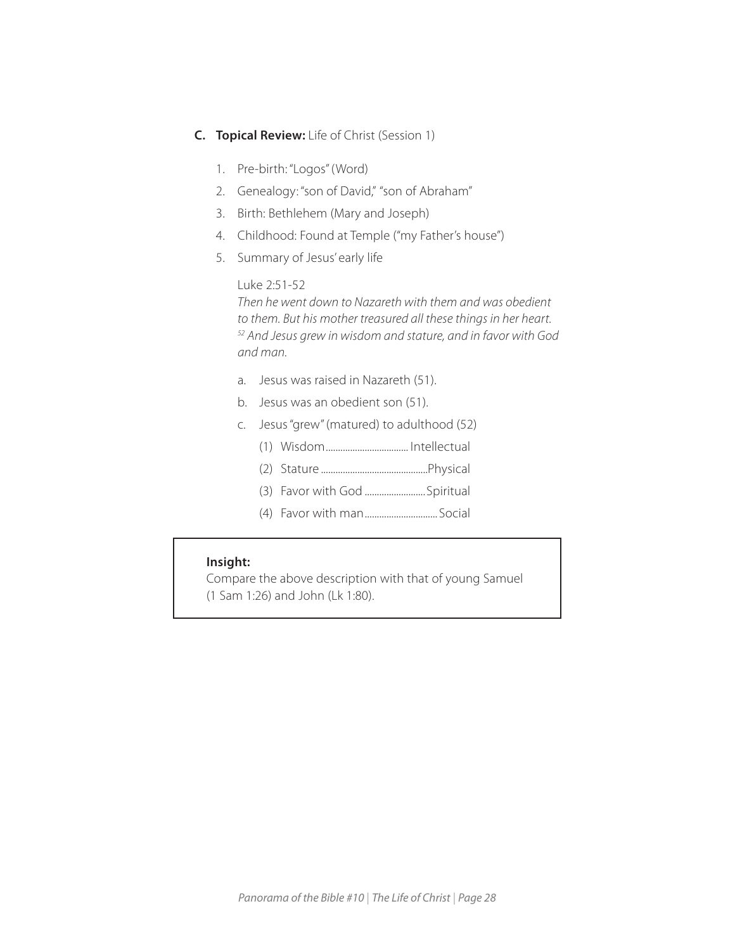# **C. Topical Review:** Life of Christ (Session 1)

- 1. Pre-birth: "Logos" (Word)
- 2. Genealogy: "son of David," "son of Abraham"
- 3. Birth: Bethlehem (Mary and Joseph)
- 4. Childhood: Found at Temple ("my Father's house")
- 5. Summary of Jesus' early life

# Luke 2:51-52

*Then he went down to Nazareth with them and was obedient to them. But his mother treasured all these things in her heart. 52 And Jesus grew in wisdom and stature, and in favor with God and man.*

- a. Jesus was raised in Nazareth (51).
- b. Jesus was an obedient son (51).
- c. Jesus "grew" (matured) to adulthood (52)
	- (1) Wisdom.................................. Intellectual
	- (2) Stature ............................................Physical
	- (3) Favor with God .........................Spiritual
	- (4) Favor with man.............................. Social

# **Insight:**

I

 Compare the above description with that of young Samuel (1 Sam 1:26) and John (Lk 1:80).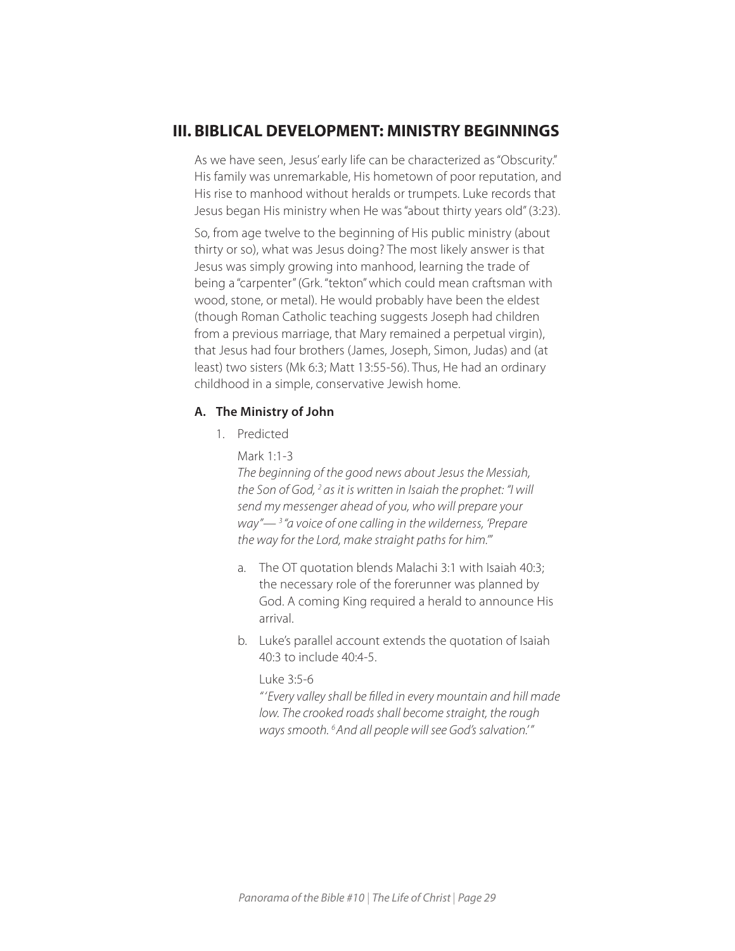# **III. BIBLICAL DEVELOPMENT: MINISTRY BEGINNINGS**

As we have seen, Jesus' early life can be characterized as "Obscurity." His family was unremarkable, His hometown of poor reputation, and His rise to manhood without heralds or trumpets. Luke records that Jesus began His ministry when He was "about thirty years old" (3:23).

So, from age twelve to the beginning of His public ministry (about thirty or so), what was Jesus doing? The most likely answer is that Jesus was simply growing into manhood, learning the trade of being a "carpenter" (Grk. "tekton" which could mean craftsman with wood, stone, or metal). He would probably have been the eldest (though Roman Catholic teaching suggests Joseph had children from a previous marriage, that Mary remained a perpetual virgin), that Jesus had four brothers (James, Joseph, Simon, Judas) and (at least) two sisters (Mk 6:3; Matt 13:55-56). Thus, He had an ordinary childhood in a simple, conservative Jewish home.

## **A. The Ministry of John**

1. Predicted

Mark 1:1-3

*The beginning of the good news about Jesus the Messiah, the Son of God, 2 as it is written in Isaiah the prophet: "I will send my messenger ahead of you, who will prepare your way"— 3 "a voice of one calling in the wilderness, 'Prepare the way for the Lord, make straight paths for him.'"*

- a. The OT quotation blends Malachi 3:1 with Isaiah 40:3; the necessary role of the forerunner was planned by God. A coming King required a herald to announce His arrival.
- b. Luke's parallel account extends the quotation of Isaiah 40:3 to include 40:4-5.

Luke 3:5-6

*" 'Every valley shall be filled in every mountain and hill made low. The crooked roads shall become straight, the rough ways smooth. 6And all people will see God's salvation.'"*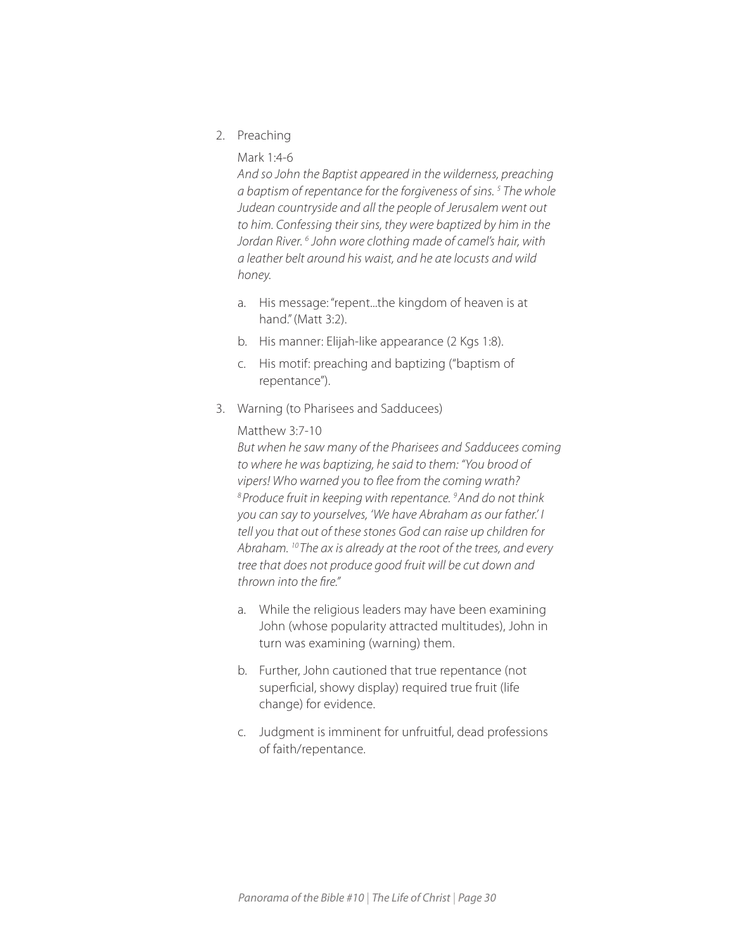2. Preaching

## Mark 1:4-6

*And so John the Baptist appeared in the wilderness, preaching a baptism of repentance for the forgiveness of sins. 5 The whole Judean countryside and all the people of Jerusalem went out to him. Confessing their sins, they were baptized by him in the*  Jordan River.<sup>6</sup> John wore clothing made of camel's hair, with *a leather belt around his waist, and he ate locusts and wild honey.*

- a. His message: "repent...the kingdom of heaven is at hand." (Matt 3:2).
- b. His manner: Elijah-like appearance (2 Kgs 1:8).
- c. His motif: preaching and baptizing ("baptism of repentance").
- 3. Warning (to Pharisees and Sadducees)

#### Matthew 3:7-10

*But when he saw many of the Pharisees and Sadducees coming to where he was baptizing, he said to them: "You brood of vipers! Who warned you to flee from the coming wrath? 8Produce fruit in keeping with repentance. 9And do not think you can say to yourselves, 'We have Abraham as our father.' I tell you that out of these stones God can raise up children for Abraham. 10 The ax is already at the root of the trees, and every tree that does not produce good fruit will be cut down and thrown into the fire."*

- a. While the religious leaders may have been examining John (whose popularity attracted multitudes), John in turn was examining (warning) them.
- b. Further, John cautioned that true repentance (not superficial, showy display) required true fruit (life change) for evidence.
- c. Judgment is imminent for unfruitful, dead professions of faith/repentance.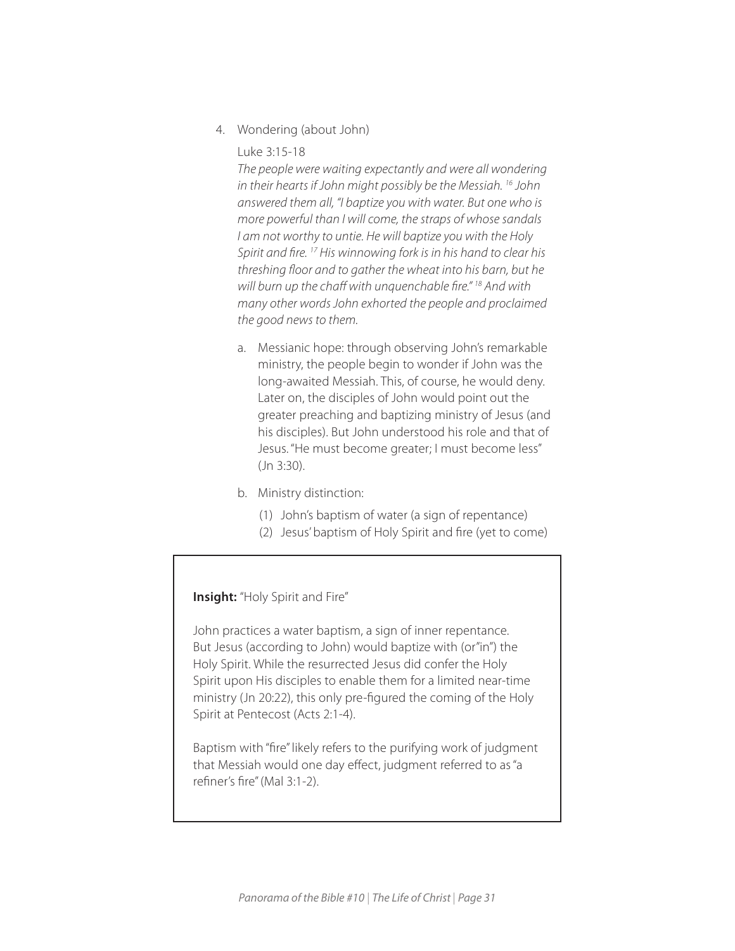4. Wondering (about John)

Luke 3:15-18

*The people were waiting expectantly and were all wondering in their hearts if John might possibly be the Messiah. 16 John answered them all, "I baptize you with water. But one who is more powerful than I will come, the straps of whose sandals I am not worthy to untie. He will baptize you with the Holy Spirit and fire. 17 His winnowing fork is in his hand to clear his threshing floor and to gather the wheat into his barn, but he will burn up the chaff with unquenchable fire." 18 And with many other words John exhorted the people and proclaimed the good news to them.*

- a. Messianic hope: through observing John's remarkable ministry, the people begin to wonder if John was the long-awaited Messiah. This, of course, he would deny. Later on, the disciples of John would point out the greater preaching and baptizing ministry of Jesus (and his disciples). But John understood his role and that of Jesus. "He must become greater; I must become less" (Jn 3:30).
- b. Ministry distinction:
	- (1) John's baptism of water (a sign of repentance)
	- (2) Jesus' baptism of Holy Spirit and fire (yet to come)

# **Insight:** "Holy Spirit and Fire"

John practices a water baptism, a sign of inner repentance. But Jesus (according to John) would baptize with (or"in") the Holy Spirit. While the resurrected Jesus did confer the Holy Spirit upon His disciples to enable them for a limited near-time ministry (Jn 20:22), this only pre-figured the coming of the Holy Spirit at Pentecost (Acts 2:1-4).

 that Messiah would one day effect, judgment referred to as "a Baptism with "fire" likely refers to the purifying work of judgment refiner's fire" (Mal 3:1-2).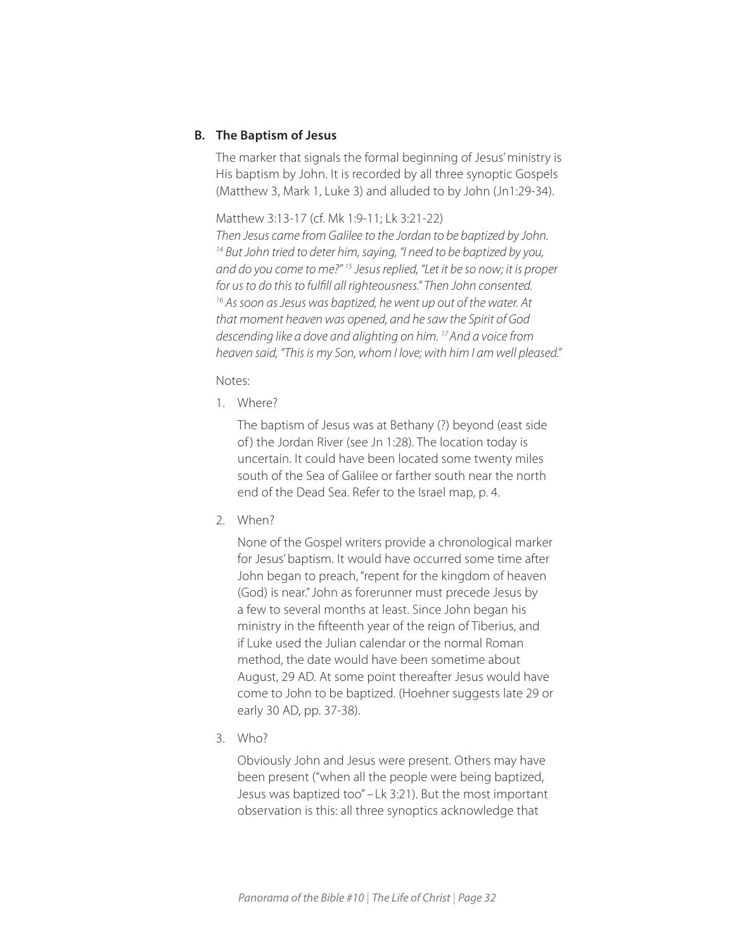# **B. The Baptism of Jesus**

The marker that signals the formal beginning of Jesus' ministry is His baptism by John. It is recorded by all three synoptic Gospels (Matthew 3, Mark 1, Luke 3) and alluded to by John (Jn1:29-34).

Matthew 3:13-17 (cf. Mk 1:9-11; Lk 3:21-22) *Then Jesus came from Galilee to the Jordan to be baptized by John. 14 But John tried to deter him, saying, "I need to be baptized by you, and do you come to me?" 15 Jesus replied, "Let it be so now; it is proper for us to do this to fulfill all righteousness." Then John consented. 16 As soon as Jesus was baptized, he went up out of the water. At that moment heaven was opened, and he saw the Spirit of God descending like a dove and alighting on him. 17And a voice from heaven said, "This is my Son, whom I love; with him I am well pleased."*

#### Notes:

1. Where?

The baptism of Jesus was at Bethany (?) beyond (east side of) the Jordan River (see Jn 1:28). The location today is uncertain. It could have been located some twenty miles south of the Sea of Galilee or farther south near the north end of the Dead Sea. Refer to the Israel map, p. 4.

2. When?

None of the Gospel writers provide a chronological marker for Jesus' baptism. It would have occurred some time after John began to preach, "repent for the kingdom of heaven (God) is near." John as forerunner must precede Jesus by a few to several months at least. Since John began his ministry in the fifteenth year of the reign of Tiberius, and if Luke used the Julian calendar or the normal Roman method, the date would have been sometime about August, 29 AD. At some point thereafter Jesus would have come to John to be baptized. (Hoehner suggests late 29 or early 30 AD, pp. 37-38).

3. Who?

Obviously John and Jesus were present. Others may have been present ("when all the people were being baptized, Jesus was baptized too" –Lk 3:21). But the most important observation is this: all three synoptics acknowledge that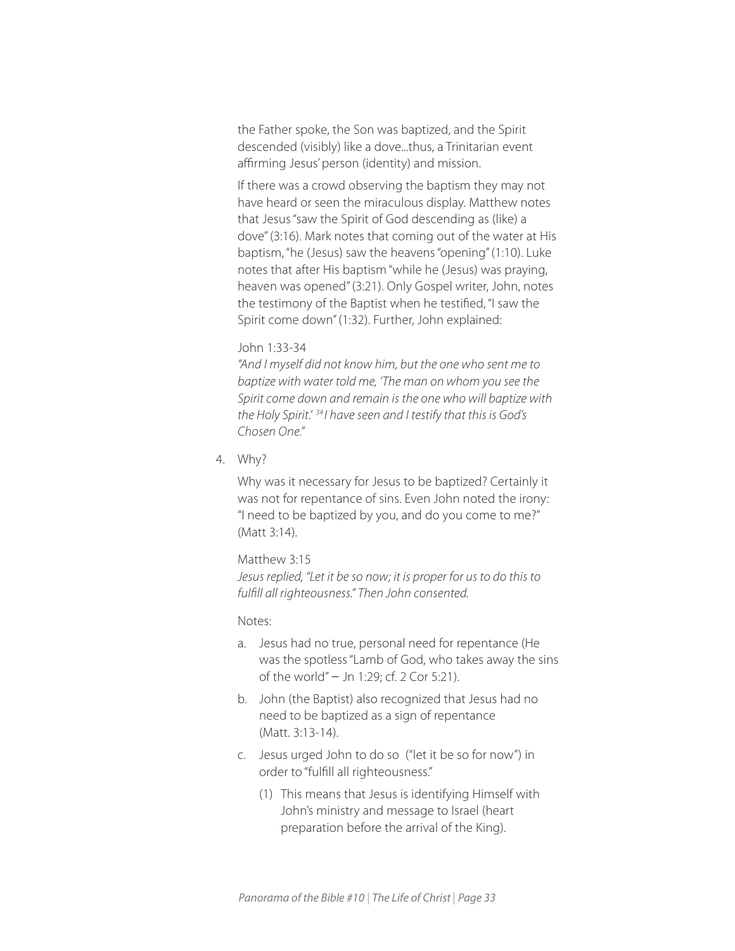the Father spoke, the Son was baptized, and the Spirit descended (visibly) like a dove...thus, a Trinitarian event affirming Jesus' person (identity) and mission.

If there was a crowd observing the baptism they may not have heard or seen the miraculous display. Matthew notes that Jesus "saw the Spirit of God descending as (like) a dove" (3:16). Mark notes that coming out of the water at His baptism, "he (Jesus) saw the heavens "opening" (1:10). Luke notes that after His baptism "while he (Jesus) was praying, heaven was opened" (3:21). Only Gospel writer, John, notes the testimony of the Baptist when he testified, "I saw the Spirit come down" (1:32). Further, John explained:

#### John 1:33-34

*"And I myself did not know him, but the one who sent me to baptize with water told me, 'The man on whom you see the Spirit come down and remain is the one who will baptize with the Holy Spirit.' <sup>34</sup> I have seen and I testify that this is God's Chosen One."*

4. Why?

Why was it necessary for Jesus to be baptized? Certainly it was not for repentance of sins. Even John noted the irony: "I need to be baptized by you, and do you come to me?" (Matt 3:14).

Matthew 3:15

*Jesus replied, "Let it be so now; it is proper for us to do this to fulfill all righteousness." Then John consented.*

Notes:

- a. Jesus had no true, personal need for repentance (He was the spotless "Lamb of God, who takes away the sins of the world" − Jn 1:29; cf. 2 Cor 5:21).
- b. John (the Baptist) also recognized that Jesus had no need to be baptized as a sign of repentance (Matt. 3:13-14).
- c. Jesus urged John to do so ("let it be so for now") in order to "fulfill all righteousness."
	- (1) This means that Jesus is identifying Himself with John's ministry and message to Israel (heart preparation before the arrival of the King).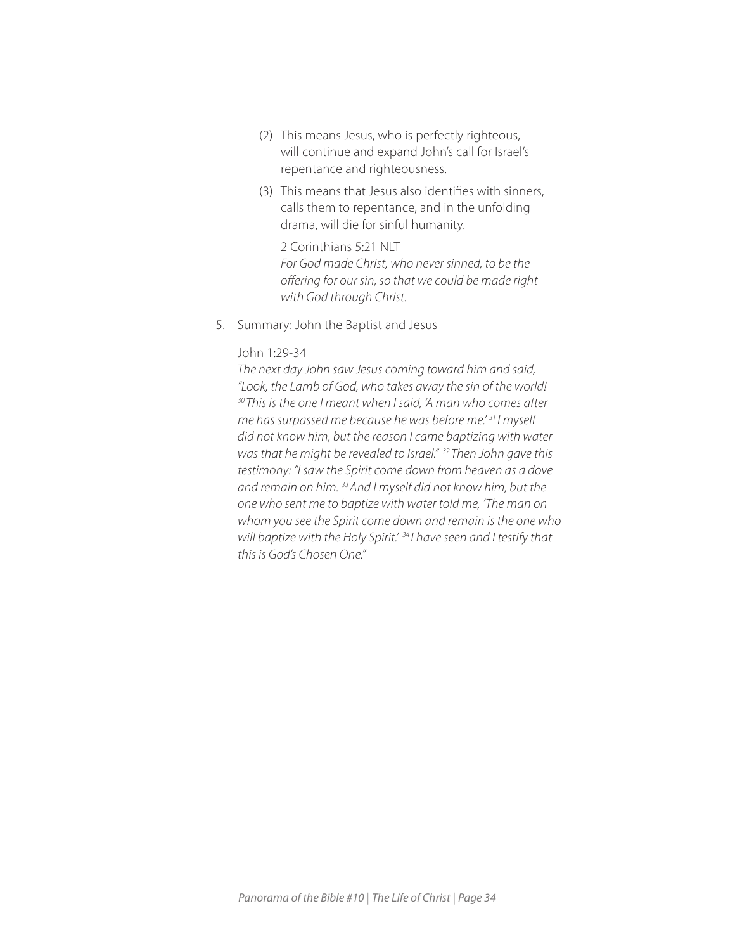- (2) This means Jesus, who is perfectly righteous, will continue and expand John's call for Israel's repentance and righteousness.
- (3) This means that Jesus also identifies with sinners, calls them to repentance, and in the unfolding drama, will die for sinful humanity.

2 Corinthians 5:21 NLT *For God made Christ, who never sinned, to be the offering for our sin, so that we could be made right with God through Christ.*

5. Summary: John the Baptist and Jesus

#### John 1:29-34

*The next day John saw Jesus coming toward him and said, "Look, the Lamb of God, who takes away the sin of the world! <sup>30</sup> This is the one I meant when I said, 'A man who comes after me has surpassed me because he was before me.' 31 I myself did not know him, but the reason I came baptizing with water was that he might be revealed to Israel." <sup>32</sup> Then John gave this testimony: "I saw the Spirit come down from heaven as a dove and remain on him. 33And I myself did not know him, but the one who sent me to baptize with water told me, 'The man on whom you see the Spirit come down and remain is the one who will baptize with the Holy Spirit.' <sup>34</sup> I have seen and I testify that this is God's Chosen One."*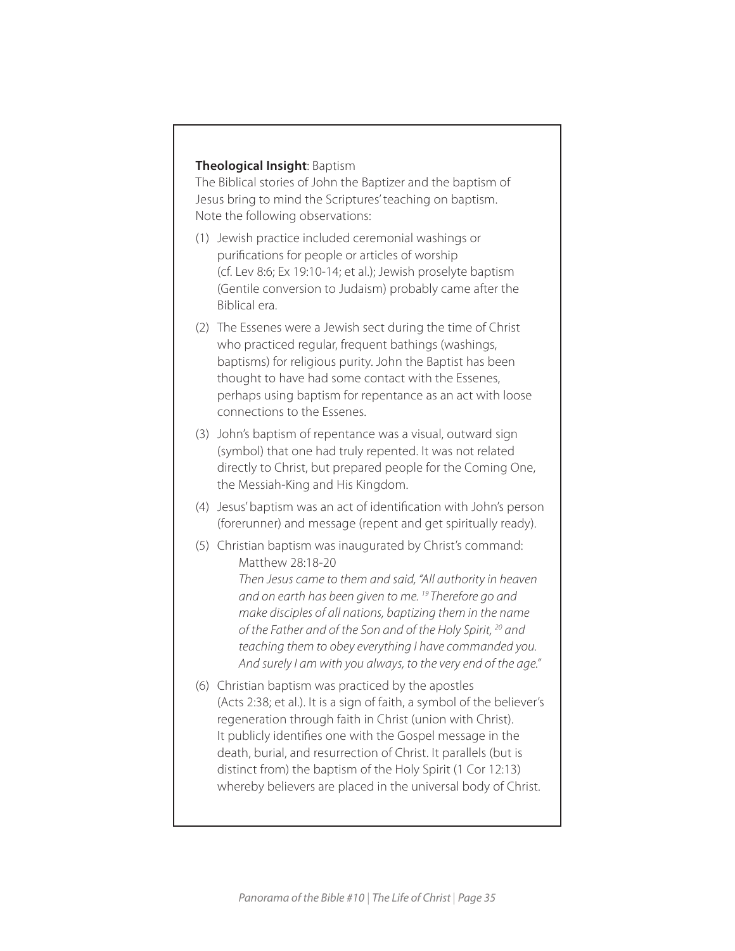# **Theological Insight**: Baptism

The Biblical stories of John the Baptizer and the baptism of Jesus bring to mind the Scriptures' teaching on baptism. Note the following observations:

- (1) Jewish practice included ceremonial washings or purifications for people or articles of worship (cf. Lev 8:6; Ex 19:10-14; et al.); Jewish proselyte baptism (Gentile conversion to Judaism) probably came after the Biblical era.
- (2) The Essenes were a Jewish sect during the time of Christ who practiced regular, frequent bathings (washings, baptisms) for religious purity. John the Baptist has been thought to have had some contact with the Essenes, perhaps using baptism for repentance as an act with loose connections to the Essenes.
- (3) John's baptism of repentance was a visual, outward sign (symbol) that one had truly repented. It was not related directly to Christ, but prepared people for the Coming One, the Messiah-King and His Kingdom.
- (4) Jesus' baptism was an act of identification with John's person (forerunner) and message (repent and get spiritually ready).
- (5) Christian baptism was inaugurated by Christ's command: Matthew 28:18-20 *Then Jesus came to them and said, "All authority in heaven and on earth has been given to me. 19 Therefore go and make disciples of all nations, baptizing them in the name of the Father and of the Son and of the Holy Spirit, 20 and teaching them to obey everything I have commanded you. And surely I am with you always, to the very end of the age."*
- (6) Christian baptism was practiced by the apostles (Acts 2:38; et al.). It is a sign of faith, a symbol of the believer's regeneration through faith in Christ (union with Christ). It publicly identifies one with the Gospel message in the death, burial, and resurrection of Christ. It parallels (but is distinct from) the baptism of the Holy Spirit (1 Cor 12:13) whereby believers are placed in the universal body of Christ.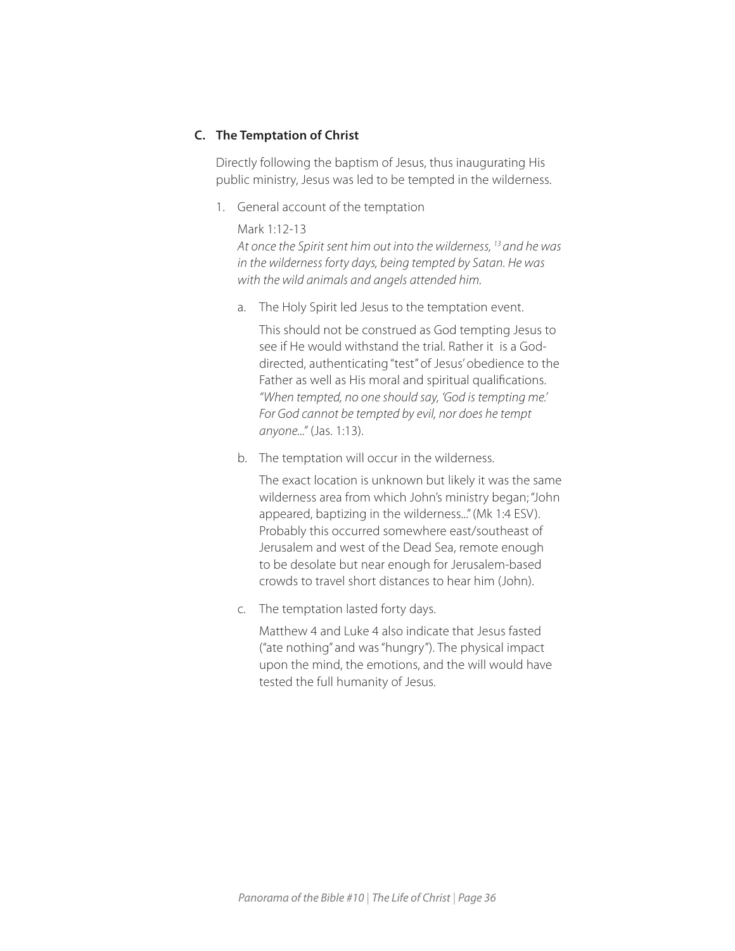# **C. The Temptation of Christ**

Directly following the baptism of Jesus, thus inaugurating His public ministry, Jesus was led to be tempted in the wilderness.

1. General account of the temptation

Mark 1:12-13 *At once the Spirit sent him out into the wilderness, 13 and he was in the wilderness forty days, being tempted by Satan. He was with the wild animals and angels attended him.*

a. The Holy Spirit led Jesus to the temptation event.

This should not be construed as God tempting Jesus to see if He would withstand the trial. Rather it is a Goddirected, authenticating "test" of Jesus' obedience to the Father as well as His moral and spiritual qualifications. *"When tempted, no one should say, 'God is tempting me.' For God cannot be tempted by evil, nor does he tempt anyone..."* (Jas. 1:13).

b. The temptation will occur in the wilderness.

The exact location is unknown but likely it was the same wilderness area from which John's ministry began; "John appeared, baptizing in the wilderness..." (Mk 1:4 ESV). Probably this occurred somewhere east/southeast of Jerusalem and west of the Dead Sea, remote enough to be desolate but near enough for Jerusalem-based crowds to travel short distances to hear him (John).

c. The temptation lasted forty days.

Matthew 4 and Luke 4 also indicate that Jesus fasted ("ate nothing" and was "hungry"). The physical impact upon the mind, the emotions, and the will would have tested the full humanity of Jesus.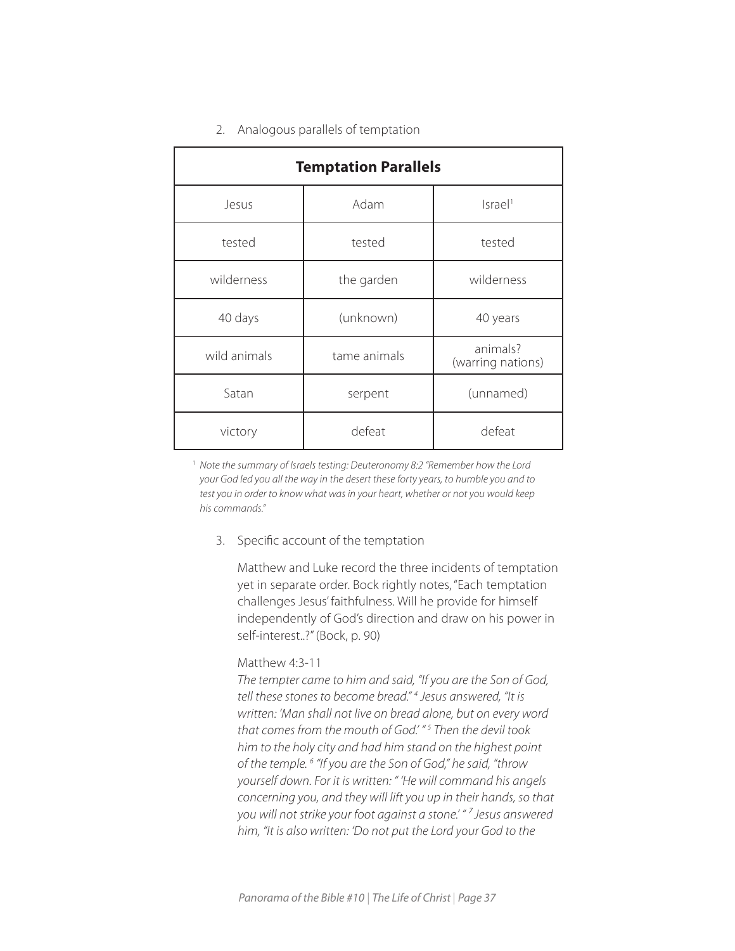## 2. Analogous parallels of temptation

| <b>Temptation Parallels</b> |                             |                               |  |  |  |
|-----------------------------|-----------------------------|-------------------------------|--|--|--|
| Jesus                       | Adam<br>Israel <sup>1</sup> |                               |  |  |  |
| tested                      | tested                      | tested                        |  |  |  |
| wilderness                  | the garden                  | wilderness                    |  |  |  |
| 40 days                     | (unknown)                   | 40 years                      |  |  |  |
| wild animals                | tame animals                | animals?<br>(warring nations) |  |  |  |
| Satan                       | serpent                     | (unnamed)                     |  |  |  |
| victory                     | defeat                      | defeat                        |  |  |  |

<sup>1</sup> *Note the summary of Israels testing: Deuteronomy 8:2 "Remember how the Lord your God led you all the way in the desert these forty years, to humble you and to test you in order to know what was in your heart, whether or not you would keep his commands."*

### 3. Specific account of the temptation

Matthew and Luke record the three incidents of temptation yet in separate order. Bock rightly notes, "Each temptation challenges Jesus' faithfulness. Will he provide for himself independently of God's direction and draw on his power in self-interest..?" (Bock, p. 90)

#### Matthew 4:3-11

*The tempter came to him and said, "If you are the Son of God, tell these stones to become bread." 4 Jesus answered, "It is written: 'Man shall not live on bread alone, but on every word that comes from the mouth of God.' " 5 Then the devil took him to the holy city and had him stand on the highest point of the temple. 6 "If you are the Son of God," he said, "throw yourself down. For it is written: " 'He will command his angels concerning you, and they will lift you up in their hands, so that you will not strike your foot against a stone.' " ⁷ Jesus answered him, "It is also written: 'Do not put the Lord your God to the*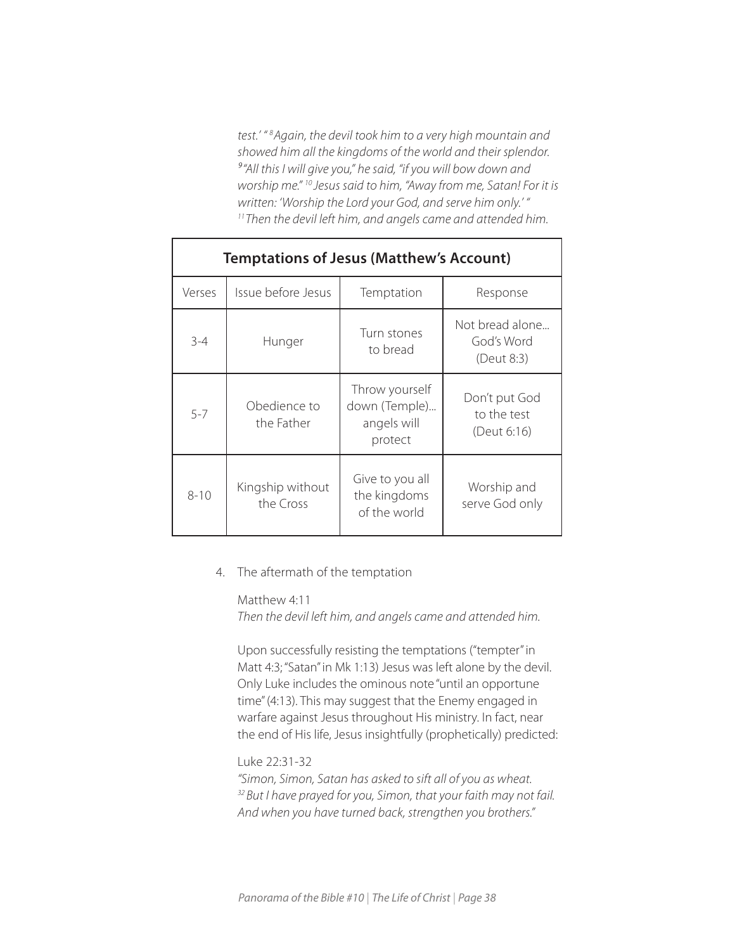*test.' " 8 Again, the devil took him to a very high mountain and showed him all the kingdoms of the world and their splendor. ⁹"All this I will give you," he said, "if you will bow down and worship me." 10 Jesus said to him, "Away from me, Satan! For it is*  written: 'Worship the Lord your God, and serve him only.' "<br><sup>11</sup>Then the devil left him, and angels came and attended him.

| <b>Temptations of Jesus (Matthew's Account)</b> |                               |                                                           |                                             |  |  |
|-------------------------------------------------|-------------------------------|-----------------------------------------------------------|---------------------------------------------|--|--|
| Verses                                          | Issue before Jesus            | Temptation                                                | Response                                    |  |  |
| $3 - 4$                                         | Hunger                        | Turn stones<br>to bread                                   | Not bread alone<br>God's Word<br>(Deut 8:3) |  |  |
| $5 - 7$                                         | Obedience to<br>the Father    | Throw yourself<br>down (Temple)<br>angels will<br>protect | Don't put God<br>to the test<br>(Deut 6:16) |  |  |
| $8 - 10$                                        | Kingship without<br>the Cross | Give to you all<br>the kingdoms<br>of the world           | Worship and<br>serve God only               |  |  |

# 4. The aftermath of the temptation

# Matthew 4:11

*Then the devil left him, and angels came and attended him.*

Upon successfully resisting the temptations ("tempter" in Matt 4:3; "Satan" in Mk 1:13) Jesus was left alone by the devil. Only Luke includes the ominous note "until an opportune time" (4:13). This may suggest that the Enemy engaged in warfare against Jesus throughout His ministry. In fact, near the end of His life, Jesus insightfully (prophetically) predicted:

## Luke 22:31-32

*"Simon, Simon, Satan has asked to sift all of you as wheat. 32But I have prayed for you, Simon, that your faith may not fail. And when you have turned back, strengthen you brothers."*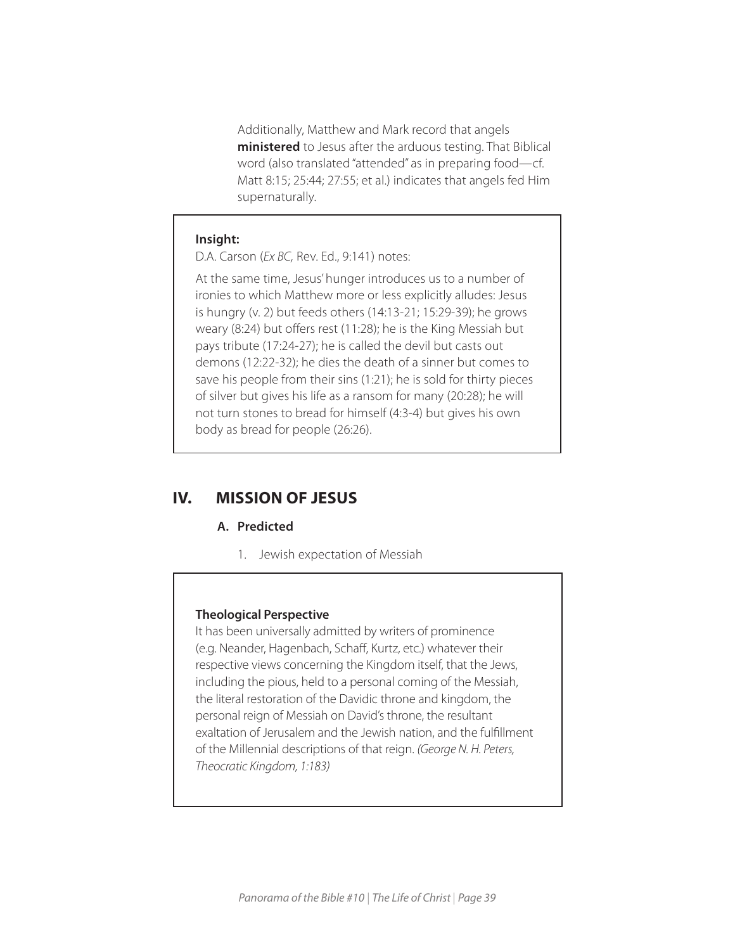Additionally, Matthew and Mark record that angels **ministered** to Jesus after the arduous testing. That Biblical word (also translated "attended" as in preparing food—cf. Matt 8:15; 25:44; 27:55; et al.) indicates that angels fed Him supernaturally.

#### **Insight:**

D.A. Carson (*Ex BC,* Rev. Ed., 9:141) notes:

At the same time, Jesus' hunger introduces us to a number of ironies to which Matthew more or less explicitly alludes: Jesus is hungry (v. 2) but feeds others (14:13-21; 15:29-39); he grows weary (8:24) but offers rest (11:28); he is the King Messiah but pays tribute (17:24-27); he is called the devil but casts out demons (12:22-32); he dies the death of a sinner but comes to save his people from their sins (1:21); he is sold for thirty pieces of silver but gives his life as a ransom for many (20:28); he will not turn stones to bread for himself (4:3-4) but gives his own body as bread for people (26:26).

# **IV. MISSION OF JESUS**

#### **A. Predicted**

1. Jewish expectation of Messiah

#### **Theological Perspective**

It has been universally admitted by writers of prominence (e.g. Neander, Hagenbach, Schaff, Kurtz, etc.) whatever their respective views concerning the Kingdom itself, that the Jews, including the pious, held to a personal coming of the Messiah, the literal restoration of the Davidic throne and kingdom, the personal reign of Messiah on David's throne, the resultant exaltation of Jerusalem and the Jewish nation, and the fulfillment of the Millennial descriptions of that reign. *(George N. H. Peters, Theocratic Kingdom, 1:183)*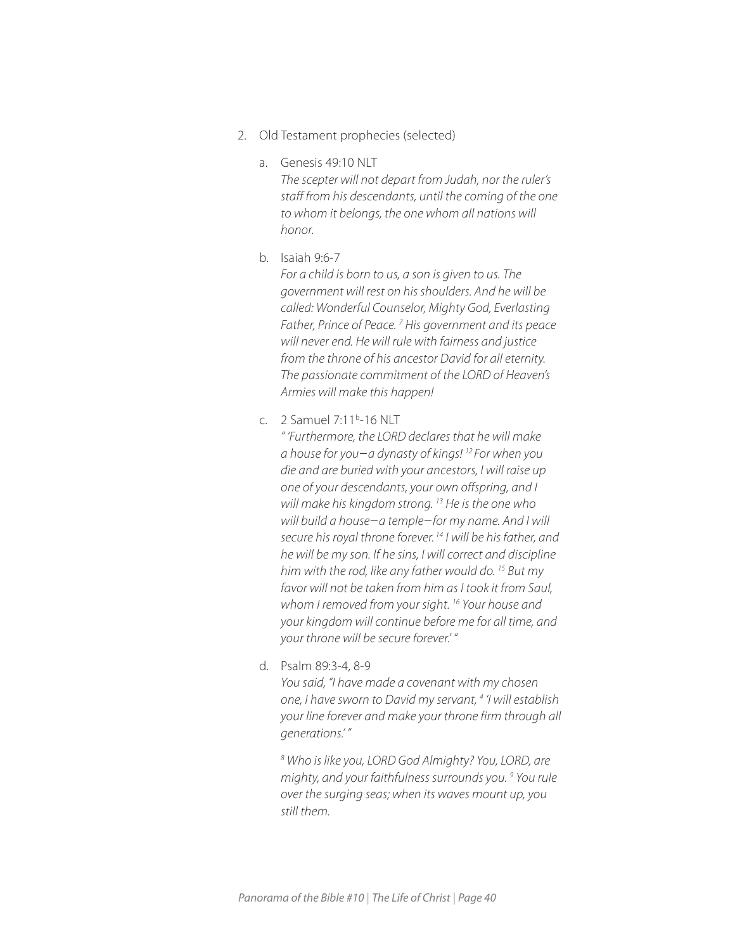- 2. Old Testament prophecies (selected)
	- a. Genesis 49:10 NLT

*The scepter will not depart from Judah, nor the ruler's staff from his descendants, until the coming of the one to whom it belongs, the one whom all nations will honor.*

b. Isaiah 9:6-7

*For a child is born to us, a son is given to us. The government will rest on his shoulders. And he will be called: Wonderful Counselor, Mighty God, Everlasting*  Father, Prince of Peace.<sup>7</sup> His government and its peace *will never end. He will rule with fairness and justice from the throne of his ancestor David for all eternity. The passionate commitment of the LORD of Heaven's Armies will make this happen!*

c. 2 Samuel 7:11<sup>b</sup>-16 NLT

*" 'Furthermore, the LORD declares that he will make a house for you*−*a dynasty of kings! 12 For when you die and are buried with your ancestors, I will raise up one of your descendants, your own offspring, and I will make his kingdom strong. 13 He is the one who will build a house*−*a temple*−*for my name. And I will secure his royal throne forever. 14 I will be his father, and he will be my son. If he sins, I will correct and discipline him with the rod, like any father would do. 15 But my favor will not be taken from him as I took it from Saul, whom I removed from your sight. 16 Your house and your kingdom will continue before me for all time, and your throne will be secure forever.' "*

d. Psalm 89:3-4, 8-9

*You said, "I have made a covenant with my chosen one, I have sworn to David my servant, 4 'I will establish your line forever and make your throne firm through all generations.' "*

*8 Who is like you, LORD God Almighty? You, LORD, are mighty, and your faithfulness surrounds you. 9 You rule over the surging seas; when its waves mount up, you still them.*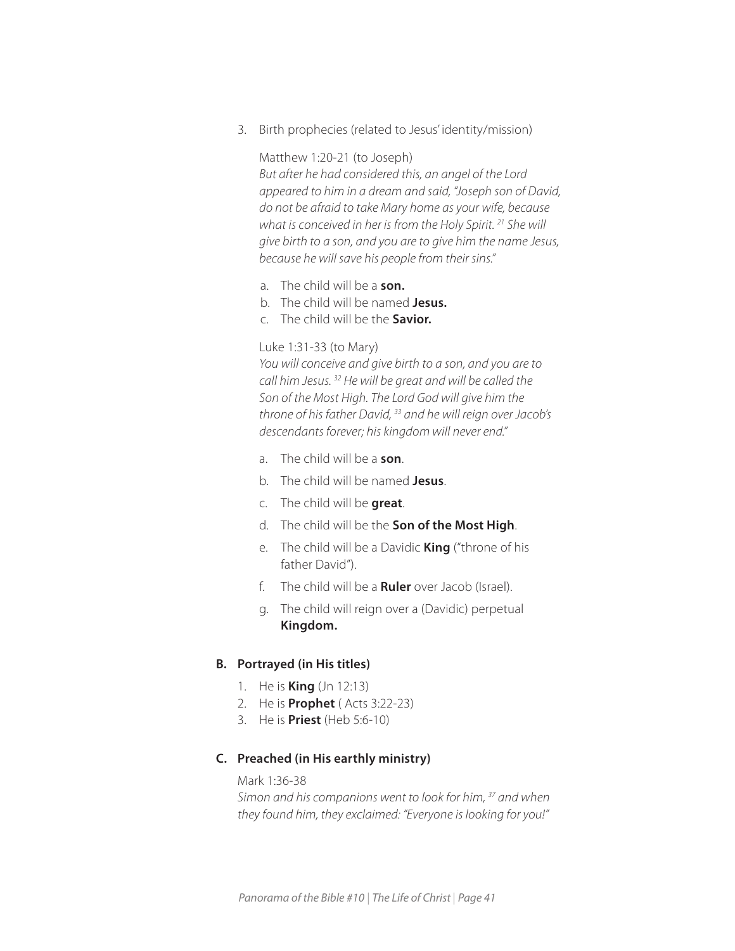3. Birth prophecies (related to Jesus' identity/mission)

#### Matthew 1:20-21 (to Joseph)

*But after he had considered this, an angel of the Lord appeared to him in a dream and said, "Joseph son of David, do not be afraid to take Mary home as your wife, because what is conceived in her is from the Holy Spirit. 21 She will give birth to a son, and you are to give him the name Jesus, because he will save his people from their sins."* 

- a. The child will be a **son.**
- b. The child will be named **Jesus.**
- c. The child will be the **Savior.**

#### Luke 1:31-33 (to Mary)

*You will conceive and give birth to a son, and you are to call him Jesus. 32 He will be great and will be called the Son of the Most High. The Lord God will give him the throne of his father David, 33 and he will reign over Jacob's descendants forever; his kingdom will never end."*

- a. The child will be a **son**.
- b. The child will be named **Jesus**.
- c. The child will be **great**.
- d. The child will be the **Son of the Most High**.
- e. The child will be a Davidic **King** ("throne of his father David").
- f. The child will be a **Ruler** over Jacob (Israel).
- g. The child will reign over a (Davidic) perpetual **Kingdom.**

#### **B. Portrayed (in His titles)**

- 1. He is **King** (Jn 12:13)
- 2. He is **Prophet** ( Acts 3:22-23)
- 3. He is **Priest** (Heb 5:6-10)

#### **C. Preached (in His earthly ministry)**

## Mark 1:36-38

*Simon and his companions went to look for him, 37 and when they found him, they exclaimed: "Everyone is looking for you!"*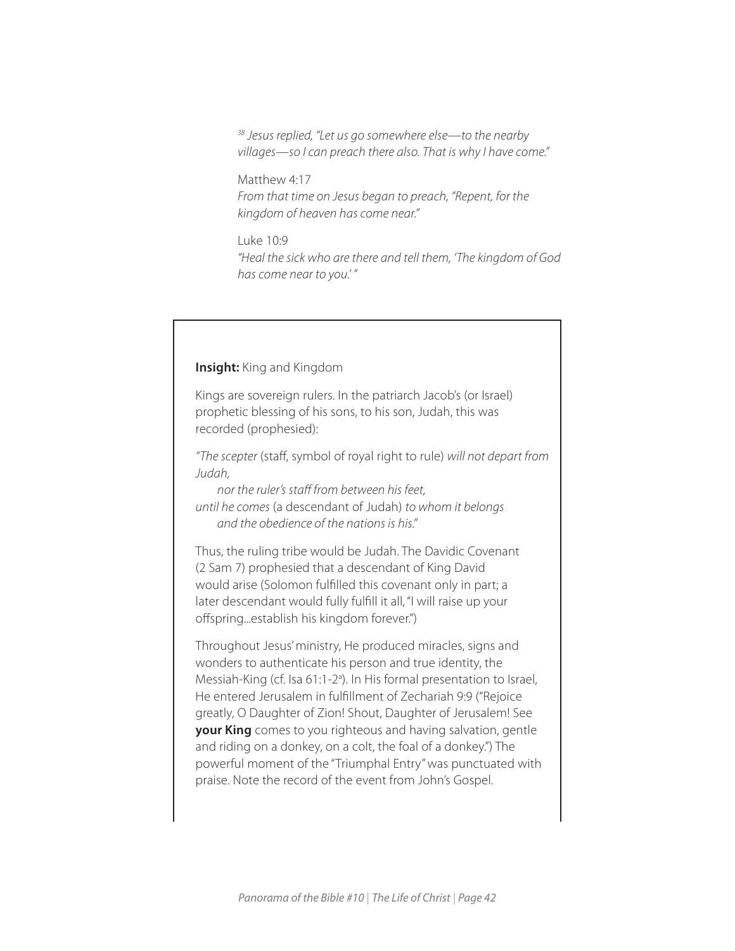*38 Jesus replied, "Let us go somewhere else—to the nearby villages—so I can preach there also. That is why I have come."* 

Matthew 4:17 *From that time on Jesus began to preach, "Repent, for the kingdom of heaven has come near."* 

Luke 10:9 *"Heal the sick who are there and tell them, 'The kingdom of God has come near to you.' "*

## **Insight:** King and Kingdom

Kings are sovereign rulers. In the patriarch Jacob's (or Israel) prophetic blessing of his sons, to his son, Judah, this was recorded (prophesied):

*"The scepter* (staff, symbol of royal right to rule) *will not depart from Judah,* 

*nor the ruler's staff from between his feet, until he comes* (a descendant of Judah) *to whom it belongs and the obedience of the nations is his."*

Thus, the ruling tribe would be Judah. The Davidic Covenant (2 Sam 7) prophesied that a descendant of King David would arise (Solomon fulfilled this covenant only in part; a later descendant would fully fulfill it all, "I will raise up your offspring...establish his kingdom forever.")

Throughout Jesus' ministry, He produced miracles, signs and wonders to authenticate his person and true identity, the Messiah-King (cf. Isa 61:1-2<sup>a</sup>). In His formal presentation to Israel, He entered Jerusalem in fulfillment of Zechariah 9:9 ("Rejoice greatly, O Daughter of Zion! Shout, Daughter of Jerusalem! See **your King** comes to you righteous and having salvation, gentle and riding on a donkey, on a colt, the foal of a donkey.") The powerful moment of the "Triumphal Entry" was punctuated with praise. Note the record of the event from John's Gospel.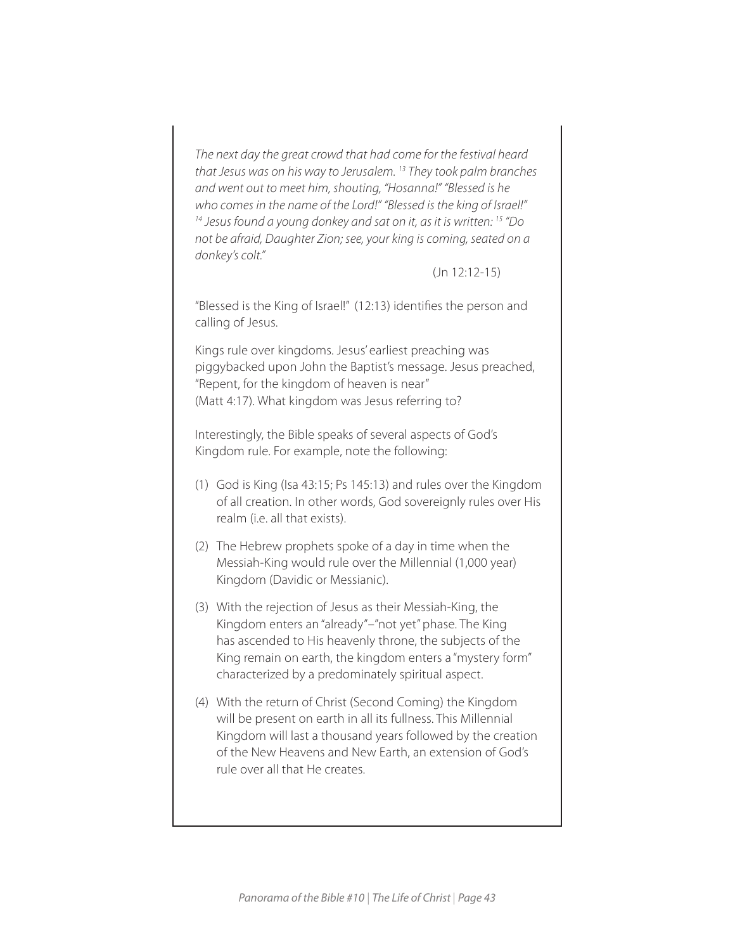*The next day the great crowd that had come for the festival heard that Jesus was on his way to Jerusalem. 13 They took palm branches and went out to meet him, shouting, "Hosanna!" "Blessed is he who comes in the name of the Lord!" "Blessed is the king of Israel!" 14 Jesus found a young donkey and sat on it, as it is written: 15 "Do not be afraid, Daughter Zion; see, your king is coming, seated on a donkey's colt."* 

#### (Jn 12:12-15)

"Blessed is the King of Israel!" (12:13) identifies the person and calling of Jesus.

Kings rule over kingdoms. Jesus' earliest preaching was piggybacked upon John the Baptist's message. Jesus preached, "Repent, for the kingdom of heaven is near" (Matt 4:17). What kingdom was Jesus referring to?

Interestingly, the Bible speaks of several aspects of God's Kingdom rule. For example, note the following:

- (1) God is King (Isa 43:15; Ps 145:13) and rules over the Kingdom of all creation. In other words, God sovereignly rules over His realm (i.e. all that exists).
- (2) The Hebrew prophets spoke of a day in time when the Messiah-King would rule over the Millennial (1,000 year) Kingdom (Davidic or Messianic).
- (3) With the rejection of Jesus as their Messiah-King, the Kingdom enters an "already"–"not yet" phase. The King has ascended to His heavenly throne, the subjects of the King remain on earth, the kingdom enters a "mystery form" characterized by a predominately spiritual aspect.
- (4) With the return of Christ (Second Coming) the Kingdom will be present on earth in all its fullness. This Millennial Kingdom will last a thousand years followed by the creation of the New Heavens and New Earth, an extension of God's rule over all that He creates.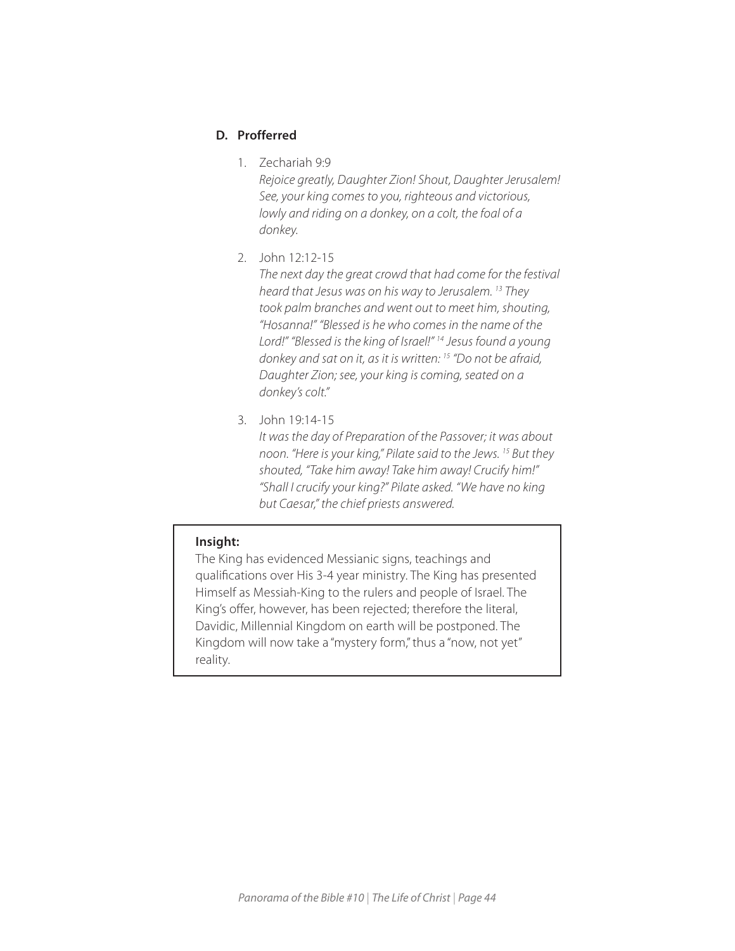# **D. Profferred**

1. Zechariah 9:9

*Rejoice greatly, Daughter Zion! Shout, Daughter Jerusalem! See, your king comes to you, righteous and victorious, lowly and riding on a donkey, on a colt, the foal of a donkey.*

2. John 12:12-15

*The next day the great crowd that had come for the festival heard that Jesus was on his way to Jerusalem. 13 They took palm branches and went out to meet him, shouting, "Hosanna!" "Blessed is he who comes in the name of the Lord!" "Blessed is the king of Israel!" 14 Jesus found a young donkey and sat on it, as it is written: 15 "Do not be afraid, Daughter Zion; see, your king is coming, seated on a donkey's colt."*

3. John 19:14-15

*It was the day of Preparation of the Passover; it was about noon. "Here is your king," Pilate said to the Jews. 15 But they shouted, "Take him away! Take him away! Crucify him!" "Shall I crucify your king?" Pilate asked. "We have no king but Caesar," the chief priests answered.*

# **Insight:**

The King has evidenced Messianic signs, teachings and qualifications over His 3-4 year ministry. The King has presented Himself as Messiah-King to the rulers and people of Israel. The King's offer, however, has been rejected; therefore the literal, Davidic, Millennial Kingdom on earth will be postponed. The Kingdom will now take a "mystery form," thus a "now, not yet" reality.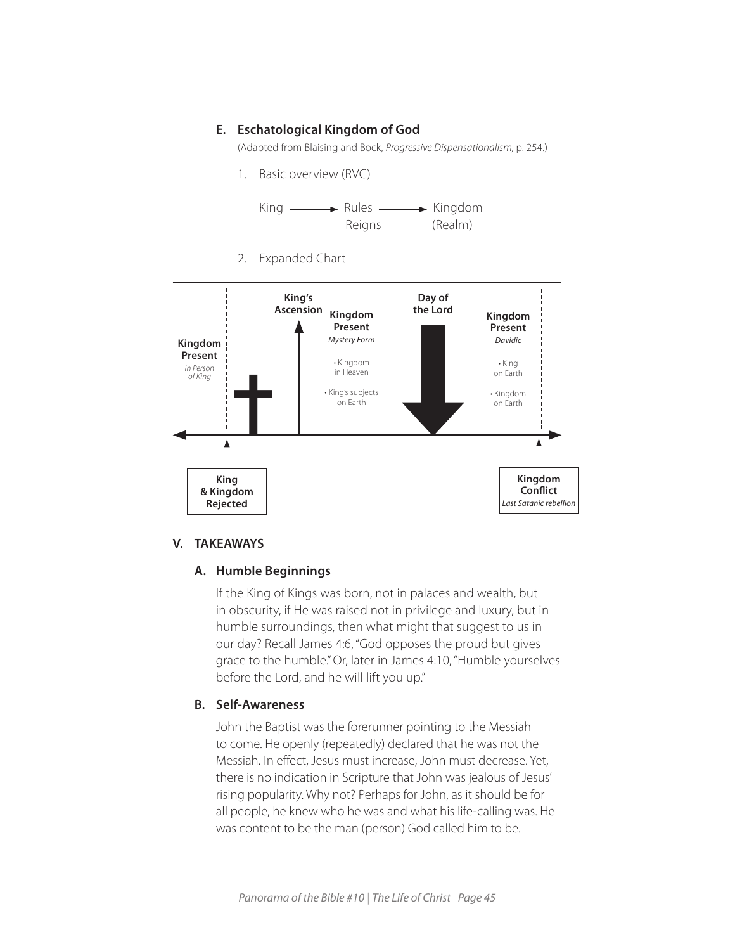# **E. Eschatological Kingdom of God**

(Adapted from Blaising and Bock, *Progressive Dispensationalism,* p. 254.)

1. Basic overview (RVC)



2. Expanded Chart



#### **V. TAKEAWAYS**

## **A. Humble Beginnings**

If the King of Kings was born, not in palaces and wealth, but in obscurity, if He was raised not in privilege and luxury, but in humble surroundings, then what might that suggest to us in our day? Recall James 4:6, "God opposes the proud but gives grace to the humble." Or, later in James 4:10, "Humble yourselves before the Lord, and he will lift you up."

#### **B. Self-Awareness**

John the Baptist was the forerunner pointing to the Messiah to come. He openly (repeatedly) declared that he was not the Messiah. In effect, Jesus must increase, John must decrease. Yet, there is no indication in Scripture that John was jealous of Jesus' rising popularity. Why not? Perhaps for John, as it should be for all people, he knew who he was and what his life-calling was. He was content to be the man (person) God called him to be.